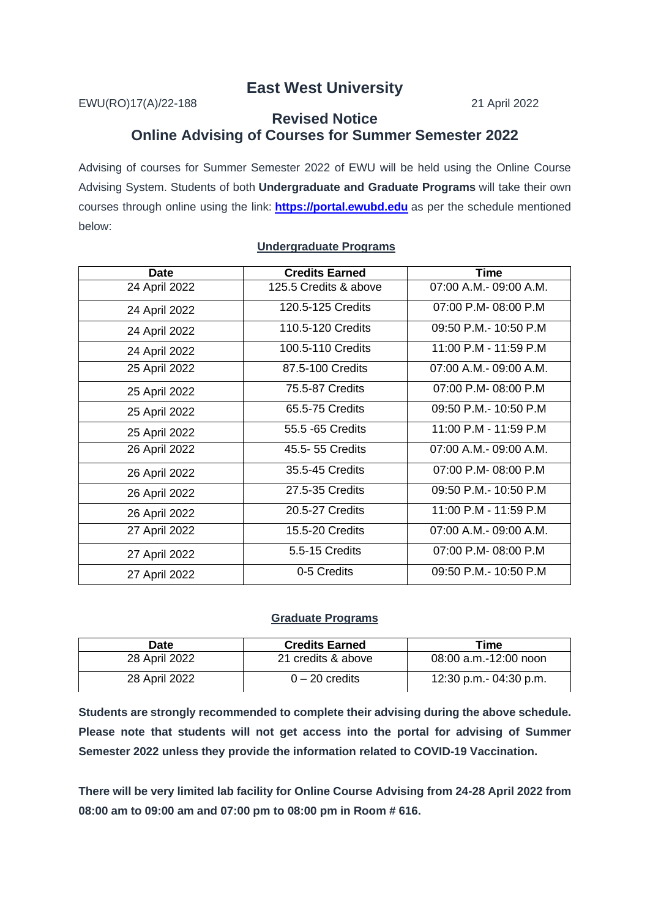## **East West University**

EWU(RO)17(A)/22-188 21 April 2022

## **Revised Notice Online Advising of Courses for Summer Semester 2022**

Advising of courses for Summer Semester 2022 of EWU will be held using the Online Course Advising System. Students of both **Undergraduate and Graduate Programs** will take their own courses through online using the link: **[https://portal.ewubd.edu](https://portal.ewubd.edu/)** as per the schedule mentioned below:

| <b>Date</b>   | <b>Credits Earned</b> | <b>Time</b>             |
|---------------|-----------------------|-------------------------|
| 24 April 2022 | 125.5 Credits & above | 07:00 A.M. - 09:00 A.M. |
| 24 April 2022 | 120.5-125 Credits     | 07:00 P.M-08:00 P.M     |
| 24 April 2022 | 110.5-120 Credits     | 09:50 P.M.- 10:50 P.M   |
| 24 April 2022 | 100.5-110 Credits     | 11:00 P.M - 11:59 P.M   |
| 25 April 2022 | 87.5-100 Credits      | 07:00 A.M. - 09:00 A.M. |
| 25 April 2022 | 75.5-87 Credits       | 07:00 P.M-08:00 P.M     |
| 25 April 2022 | 65.5-75 Credits       | 09:50 P.M. - 10:50 P.M. |
| 25 April 2022 | 55.5 -65 Credits      | 11:00 P.M - 11:59 P.M   |
| 26 April 2022 | 45.5- 55 Credits      | 07:00 A.M. - 09:00 A.M. |
| 26 April 2022 | 35.5-45 Credits       | 07:00 P.M-08:00 P.M     |
| 26 April 2022 | 27.5-35 Credits       | 09:50 P.M.- 10:50 P.M   |
| 26 April 2022 | 20.5-27 Credits       | 11:00 P.M - 11:59 P.M   |
| 27 April 2022 | 15.5-20 Credits       | 07:00 A.M. - 09:00 A.M. |
| 27 April 2022 | 5.5-15 Credits        | 07:00 P.M-08:00 P.M     |
| 27 April 2022 | 0-5 Credits           | 09:50 P.M. - 10:50 P.M  |

## **Undergraduate Programs**

## **Graduate Programs**

| Date          | <b>Credits Earned</b> | Time                    |
|---------------|-----------------------|-------------------------|
| 28 April 2022 | 21 credits & above    | $08:00$ a.m.-12:00 noon |
| 28 April 2022 | $0 - 20$ credits      | 12:30 p.m.- 04:30 p.m.  |

**Students are strongly recommended to complete their advising during the above schedule. Please note that students will not get access into the portal for advising of Summer Semester 2022 unless they provide the information related to COVID-19 Vaccination.**

**There will be very limited lab facility for Online Course Advising from 24-28 April 2022 from 08:00 am to 09:00 am and 07:00 pm to 08:00 pm in Room # 616.**